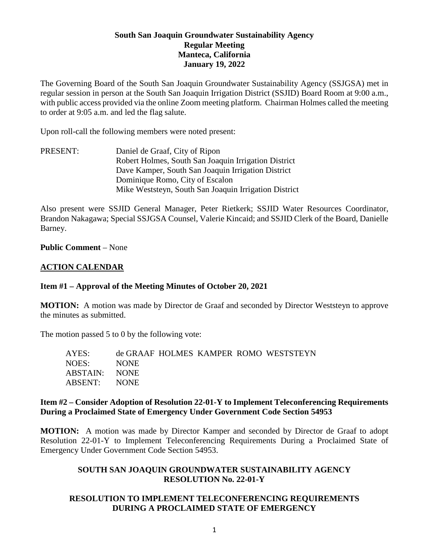## **South San Joaquin Groundwater Sustainability Agency Regular Meeting Manteca, California January 19, 2022**

The Governing Board of the South San Joaquin Groundwater Sustainability Agency (SSJGSA) met in regular session in person at the South San Joaquin Irrigation District (SSJID) Board Room at 9:00 a.m., with public access provided via the online Zoom meeting platform. Chairman Holmes called the meeting to order at 9:05 a.m. and led the flag salute.

Upon roll-call the following members were noted present:

PRESENT: Daniel de Graaf, City of Ripon Robert Holmes, South San Joaquin Irrigation District Dave Kamper, South San Joaquin Irrigation District Dominique Romo, City of Escalon Mike Weststeyn, South San Joaquin Irrigation District

Also present were SSJID General Manager, Peter Rietkerk; SSJID Water Resources Coordinator, Brandon Nakagawa; Special SSJGSA Counsel, Valerie Kincaid; and SSJID Clerk of the Board, Danielle Barney.

**Public Comment** – None

### **ACTION CALENDAR**

### **Item #1 – Approval of the Meeting Minutes of October 20, 2021**

**MOTION:** A motion was made by Director de Graaf and seconded by Director Weststeyn to approve the minutes as submitted.

The motion passed 5 to 0 by the following vote:

| AYES:         |             |  | de GRAAF HOLMES KAMPER ROMO WESTSTEYN |
|---------------|-------------|--|---------------------------------------|
| NOES:         | <b>NONE</b> |  |                                       |
| ABSTAIN: NONE |             |  |                                       |
| ABSENT: NONE  |             |  |                                       |
|               |             |  |                                       |

### **Item #2 – Consider Adoption of Resolution 22-01-Y to Implement Teleconferencing Requirements During a Proclaimed State of Emergency Under Government Code Section 54953**

**MOTION:** A motion was made by Director Kamper and seconded by Director de Graaf to adopt Resolution 22-01-Y to Implement Teleconferencing Requirements During a Proclaimed State of Emergency Under Government Code Section 54953.

## **SOUTH SAN JOAQUIN GROUNDWATER SUSTAINABILITY AGENCY RESOLUTION No. 22-01-Y**

## **RESOLUTION TO IMPLEMENT TELECONFERENCING REQUIREMENTS DURING A PROCLAIMED STATE OF EMERGENCY**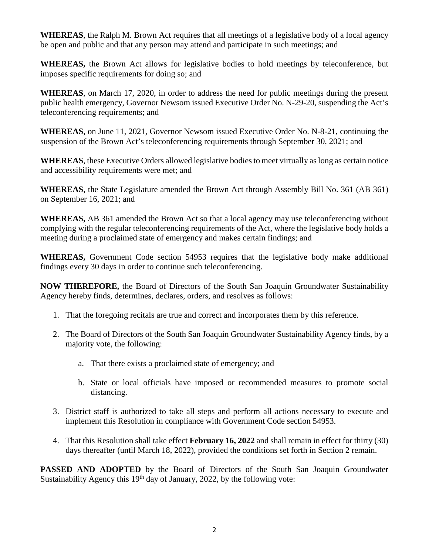**WHEREAS**, the Ralph M. Brown Act requires that all meetings of a legislative body of a local agency be open and public and that any person may attend and participate in such meetings; and

**WHEREAS,** the Brown Act allows for legislative bodies to hold meetings by teleconference, but imposes specific requirements for doing so; and

**WHEREAS**, on March 17, 2020, in order to address the need for public meetings during the present public health emergency, Governor Newsom issued Executive Order No. N-29-20, suspending the Act's teleconferencing requirements; and

**WHEREAS**, on June 11, 2021, Governor Newsom issued Executive Order No. N-8-21, continuing the suspension of the Brown Act's teleconferencing requirements through September 30, 2021; and

**WHEREAS**, these Executive Orders allowed legislative bodies to meet virtually as long as certain notice and accessibility requirements were met; and

**WHEREAS**, the State Legislature amended the Brown Act through Assembly Bill No. 361 (AB 361) on September 16, 2021; and

**WHEREAS,** AB 361 amended the Brown Act so that a local agency may use teleconferencing without complying with the regular teleconferencing requirements of the Act, where the legislative body holds a meeting during a proclaimed state of emergency and makes certain findings; and

**WHEREAS,** Government Code section 54953 requires that the legislative body make additional findings every 30 days in order to continue such teleconferencing.

**NOW THEREFORE,** the Board of Directors of the South San Joaquin Groundwater Sustainability Agency hereby finds, determines, declares, orders, and resolves as follows:

- 1. That the foregoing recitals are true and correct and incorporates them by this reference.
- 2. The Board of Directors of the South San Joaquin Groundwater Sustainability Agency finds, by a majority vote, the following:
	- a. That there exists a proclaimed state of emergency; and
	- b. State or local officials have imposed or recommended measures to promote social distancing.
- 3. District staff is authorized to take all steps and perform all actions necessary to execute and implement this Resolution in compliance with Government Code section 54953.
- 4. That this Resolution shall take effect **February 16, 2022** and shall remain in effect for thirty (30) days thereafter (until March 18, 2022), provided the conditions set forth in Section 2 remain.

**PASSED AND ADOPTED** by the Board of Directors of the South San Joaquin Groundwater Sustainability Agency this  $19<sup>th</sup>$  day of January, 2022, by the following vote: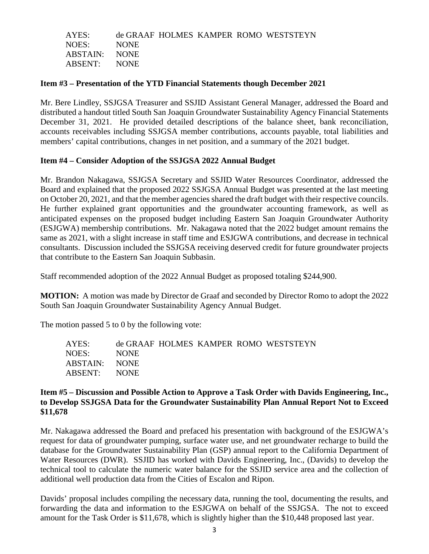| AYES:         |             |  | de GRAAF HOLMES KAMPER ROMO WESTSTEYN |
|---------------|-------------|--|---------------------------------------|
| NOES:         | <b>NONE</b> |  |                                       |
| ABSTAIN: NONE |             |  |                                       |
| ABSENT: NONE  |             |  |                                       |

#### **Item #3 – Presentation of the YTD Financial Statements though December 2021**

Mr. Bere Lindley, SSJGSA Treasurer and SSJID Assistant General Manager, addressed the Board and distributed a handout titled South San Joaquin Groundwater Sustainability Agency Financial Statements December 31, 2021. He provided detailed descriptions of the balance sheet, bank reconciliation, accounts receivables including SSJGSA member contributions, accounts payable, total liabilities and members' capital contributions, changes in net position, and a summary of the 2021 budget.

### **Item #4 – Consider Adoption of the SSJGSA 2022 Annual Budget**

Mr. Brandon Nakagawa, SSJGSA Secretary and SSJID Water Resources Coordinator, addressed the Board and explained that the proposed 2022 SSJGSA Annual Budget was presented at the last meeting on October 20, 2021, and that the member agencies shared the draft budget with their respective councils. He further explained grant opportunities and the groundwater accounting framework, as well as anticipated expenses on the proposed budget including Eastern San Joaquin Groundwater Authority (ESJGWA) membership contributions. Mr. Nakagawa noted that the 2022 budget amount remains the same as 2021, with a slight increase in staff time and ESJGWA contributions, and decrease in technical consultants. Discussion included the SSJGSA receiving deserved credit for future groundwater projects that contribute to the Eastern San Joaquin Subbasin.

Staff recommended adoption of the 2022 Annual Budget as proposed totaling \$244,900.

**MOTION:** A motion was made by Director de Graaf and seconded by Director Romo to adopt the 2022 South San Joaquin Groundwater Sustainability Agency Annual Budget.

The motion passed 5 to 0 by the following vote:

| AYES:         |             |  | de GRAAF HOLMES KAMPER ROMO WESTSTEYN |
|---------------|-------------|--|---------------------------------------|
| NOES:         | <b>NONE</b> |  |                                       |
| ABSTAIN: NONE |             |  |                                       |
| ABSENT: NONE  |             |  |                                       |

### **Item #5 – Discussion and Possible Action to Approve a Task Order with Davids Engineering, Inc., to Develop SSJGSA Data for the Groundwater Sustainability Plan Annual Report Not to Exceed \$11,678**

Mr. Nakagawa addressed the Board and prefaced his presentation with background of the ESJGWA's request for data of groundwater pumping, surface water use, and net groundwater recharge to build the database for the Groundwater Sustainability Plan (GSP) annual report to the California Department of Water Resources (DWR). SSJID has worked with Davids Engineering, Inc., (Davids) to develop the technical tool to calculate the numeric water balance for the SSJID service area and the collection of additional well production data from the Cities of Escalon and Ripon.

Davids' proposal includes compiling the necessary data, running the tool, documenting the results, and forwarding the data and information to the ESJGWA on behalf of the SSJGSA. The not to exceed amount for the Task Order is \$11,678, which is slightly higher than the \$10,448 proposed last year.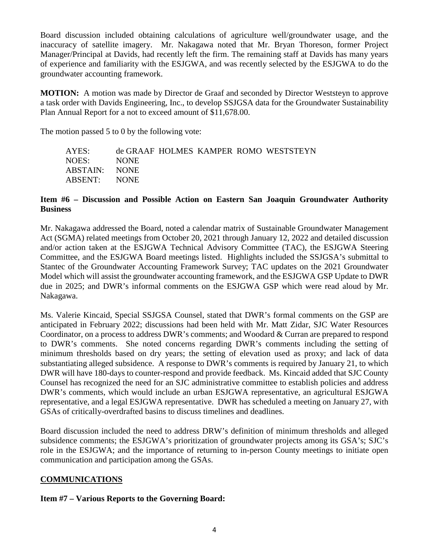Board discussion included obtaining calculations of agriculture well/groundwater usage, and the inaccuracy of satellite imagery. Mr. Nakagawa noted that Mr. Bryan Thoreson, former Project Manager/Principal at Davids, had recently left the firm. The remaining staff at Davids has many years of experience and familiarity with the ESJGWA, and was recently selected by the ESJGWA to do the groundwater accounting framework.

**MOTION:** A motion was made by Director de Graaf and seconded by Director Weststeyn to approve a task order with Davids Engineering, Inc., to develop SSJGSA data for the Groundwater Sustainability Plan Annual Report for a not to exceed amount of \$11,678.00.

The motion passed 5 to 0 by the following vote:

| AYES:         |             |  | de GRAAF HOLMES KAMPER ROMO WESTSTEYN |
|---------------|-------------|--|---------------------------------------|
| NOES:         | <b>NONE</b> |  |                                       |
| ABSTAIN: NONE |             |  |                                       |
| ABSENT: NONE  |             |  |                                       |

### **Item #6 – Discussion and Possible Action on Eastern San Joaquin Groundwater Authority Business**

Mr. Nakagawa addressed the Board, noted a calendar matrix of Sustainable Groundwater Management Act (SGMA) related meetings from October 20, 2021 through January 12, 2022 and detailed discussion and/or action taken at the ESJGWA Technical Advisory Committee (TAC), the ESJGWA Steering Committee, and the ESJGWA Board meetings listed. Highlights included the SSJGSA's submittal to Stantec of the Groundwater Accounting Framework Survey; TAC updates on the 2021 Groundwater Model which will assist the groundwater accounting framework, and the ESJGWA GSP Update to DWR due in 2025; and DWR's informal comments on the ESJGWA GSP which were read aloud by Mr. Nakagawa.

Ms. Valerie Kincaid, Special SSJGSA Counsel, stated that DWR's formal comments on the GSP are anticipated in February 2022; discussions had been held with Mr. Matt Zidar, SJC Water Resources Coordinator, on a process to address DWR's comments; and Woodard & Curran are prepared to respond to DWR's comments. She noted concerns regarding DWR's comments including the setting of minimum thresholds based on dry years; the setting of elevation used as proxy; and lack of data substantiating alleged subsidence. A response to DWR's comments is required by January 21, to which DWR will have 180-days to counter-respond and provide feedback. Ms. Kincaid added that SJC County Counsel has recognized the need for an SJC administrative committee to establish policies and address DWR's comments, which would include an urban ESJGWA representative, an agricultural ESJGWA representative, and a legal ESJGWA representative. DWR has scheduled a meeting on January 27, with GSAs of critically-overdrafted basins to discuss timelines and deadlines.

Board discussion included the need to address DRW's definition of minimum thresholds and alleged subsidence comments; the ESJGWA's prioritization of groundwater projects among its GSA's; SJC's role in the ESJGWA; and the importance of returning to in-person County meetings to initiate open communication and participation among the GSAs.

## **COMMUNICATIONS**

## **Item #7 – Various Reports to the Governing Board:**